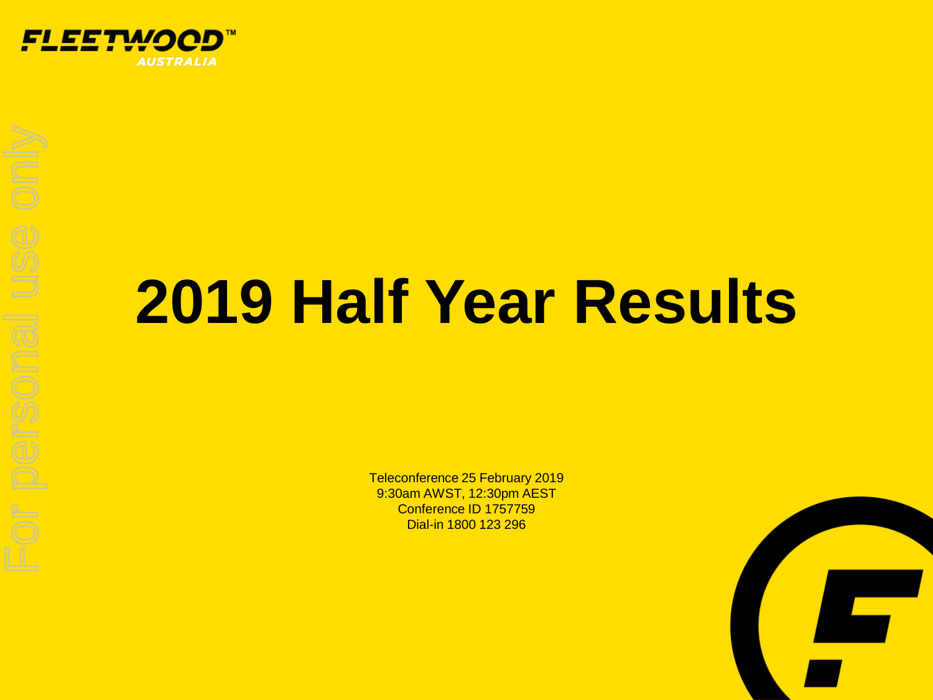

# **2019 Half Year Results**

Teleconference 25 February 2019 9:30am AWST, 12:30pm AEST Conference ID 1757759 Dial-in 1800 123 296

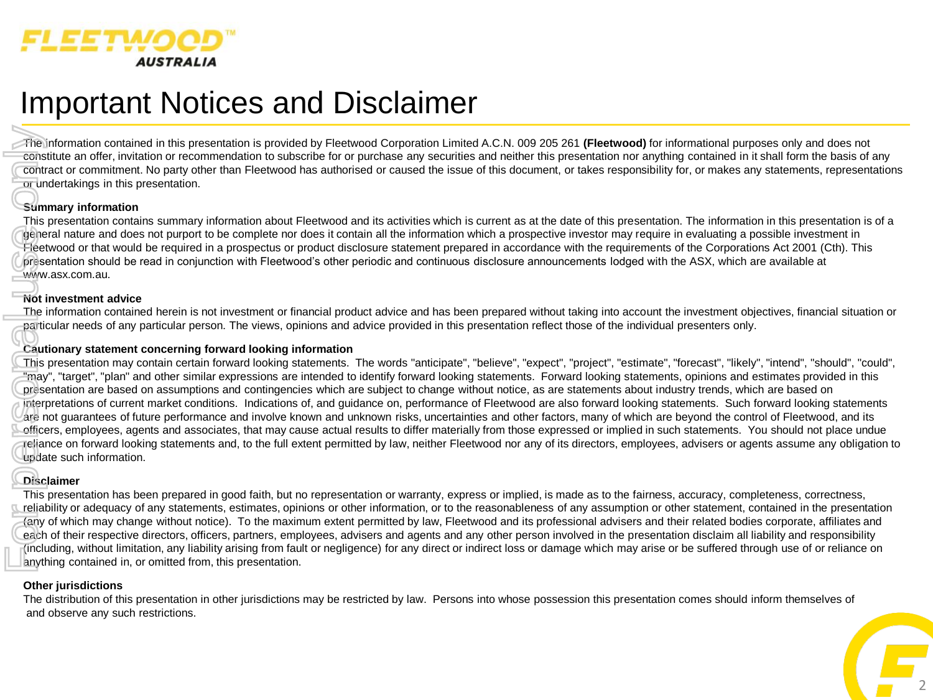

## Important Notices and Disclaimer

The information contained in this presentation is provided by Fleetwood Corporation Limited A.C.N. 009 205 261 **(Fleetwood)** for informational purposes only and does not constitute an offer, invitation or recommendation to subscribe for or purchase any securities and neither this presentation nor anything contained in it shall form the basis of any contract or commitment. No party other than Fleetwood has authorised or caused the issue of this document, or takes responsibility for, or makes any statements, representations or undertakings in this presentation.

#### **Summary information**

This presentation contains summary information about Fleetwood and its activities which is current as at the date of this presentation. The information in this presentation is of a general nature and does not purport to be complete nor does it contain all the information which a prospective investor may require in evaluating a possible investment in Fleetwood or that would be required in a prospectus or product disclosure statement prepared in accordance with the requirements of the Corporations Act 2001 (Cth). This presentation should be read in conjunction with Fleetwood's other periodic and continuous disclosure announcements lodged with the ASX, which are available at www.asx.com.au.

#### **Not investment advice**

The information contained herein is not investment or financial product advice and has been prepared without taking into account the investment objectives, financial situation or particular needs of any particular person. The views, opinions and advice provided in this presentation reflect those of the individual presenters only.

#### **Cautionary statement concerning forward looking information**

This presentation may contain certain forward looking statements. The words "anticipate", "believe", "expect", "project", "estimate", "forecast", "likely", "intend", "should", "could", "may", "target", "plan" and other similar expressions are intended to identify forward looking statements. Forward looking statements, opinions and estimates provided in this presentation are based on assumptions and contingencies which are subject to change without notice, as are statements about industry trends, which are based on interpretations of current market conditions. Indications of, and guidance on, performance of Fleetwood are also forward looking statements. Such forward looking statements are not guarantees of future performance and involve known and unknown risks, uncertainties and other factors, many of which are beyond the control of Fleetwood, and its officers, employees, agents and associates, that may cause actual results to differ materially from those expressed or implied in such statements. You should not place undue reliance on forward looking statements and, to the full extent permitted by law, neither Fleetwood nor any of its directors, employees, advisers or agents assume any obligation to update such information. Frequency Control Control Control Control Control Control Control Control Control Control Control Control Control Control Control Control Control Control Control Control Control Control Control Control Control Control Cont

#### **Disclaimer**

This presentation has been prepared in good faith, but no representation or warranty, express or implied, is made as to the fairness, accuracy, completeness, correctness, reliability or adequacy of any statements, estimates, opinions or other information, or to the reasonableness of any assumption or other statement, contained in the presentation (any of which may change without notice). To the maximum extent permitted by law, Fleetwood and its professional advisers and their related bodies corporate, affiliates and each of their respective directors, officers, partners, employees, advisers and agents and any other person involved in the presentation disclaim all liability and responsibility (including, without limitation, any liability arising from fault or negligence) for any direct or indirect loss or damage which may arise or be suffered through use of or reliance on anything contained in, or omitted from, this presentation.

#### **Other jurisdictions**

The distribution of this presentation in other jurisdictions may be restricted by law. Persons into whose possession this presentation comes should inform themselves of and observe any such restrictions.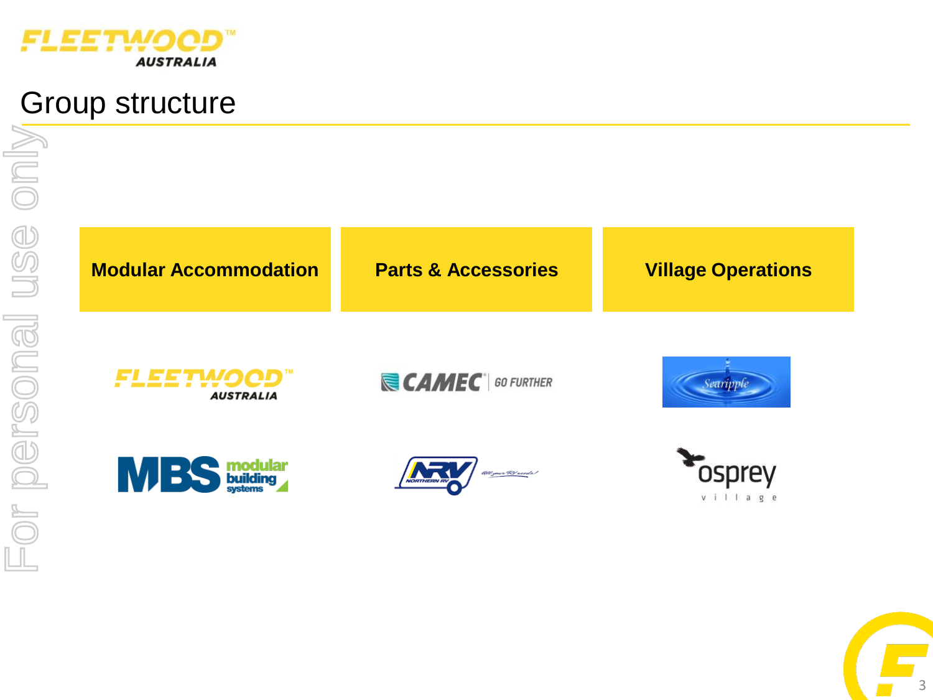

## Group structure

**Modular Accommodation Parts & Accessories Village Operations**

**FLEETWOOD AUSTRALIA** 

**CAMEC** 60 FURTHER









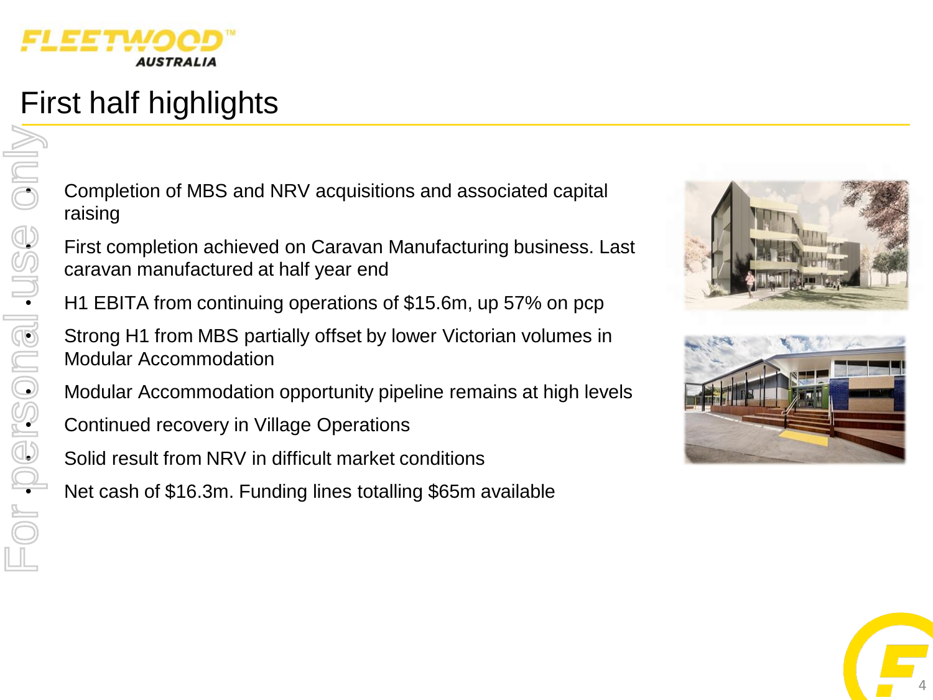

# First half highlights

example to match of MBS and NRV acquisitions and associated capital<br>
completion of MBS and NRV acquisitions and associated capital<br>
raising raising

First completion achieved on Caravan Manufacturing business. Last<br>
First caravan manufactured at half year end<br>
H1 EBITA from continuing operations of \$15.6m, up 57% on pcp<br>
Strong H1 from MBS partially offset by lower Vic caravan manufactured at half year end

• H1 EBITA from continuing operations of \$15.6m, up 57% on pcp

Strong H1 from MBS partially offset by lower Victorian volumes in Modular Accommodation

• Modular Accommodation opportunity pipeline remains at high levels

• Continued recovery in Village Operations

Solid result from NRV in difficult market conditions

• Net cash of \$16.3m. Funding lines totalling \$65m available







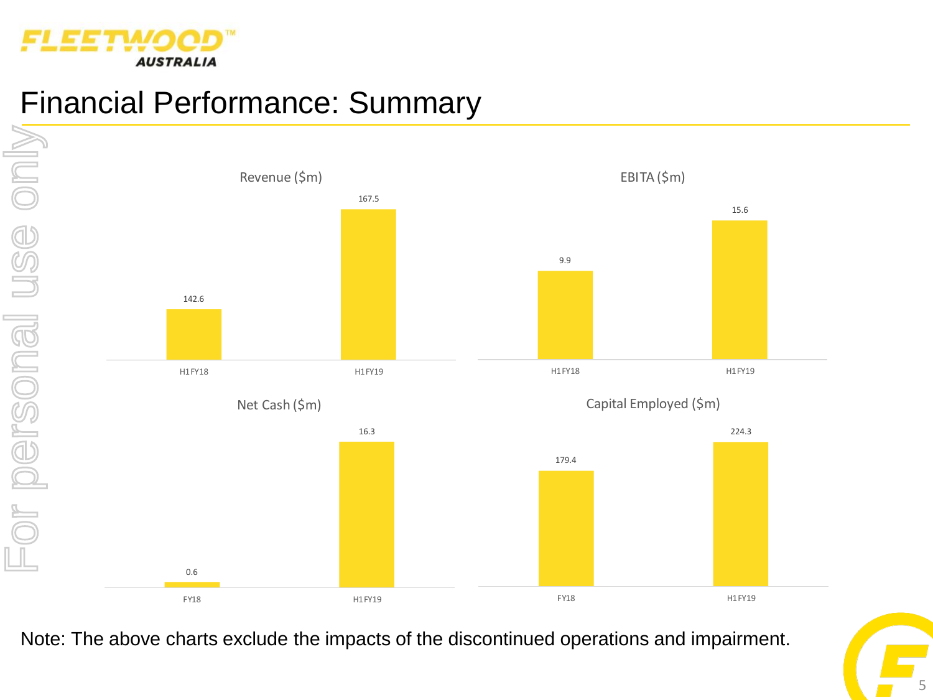

# Financial Performance: Summary



Note: The above charts exclude the impacts of the discontinued operations and impairment.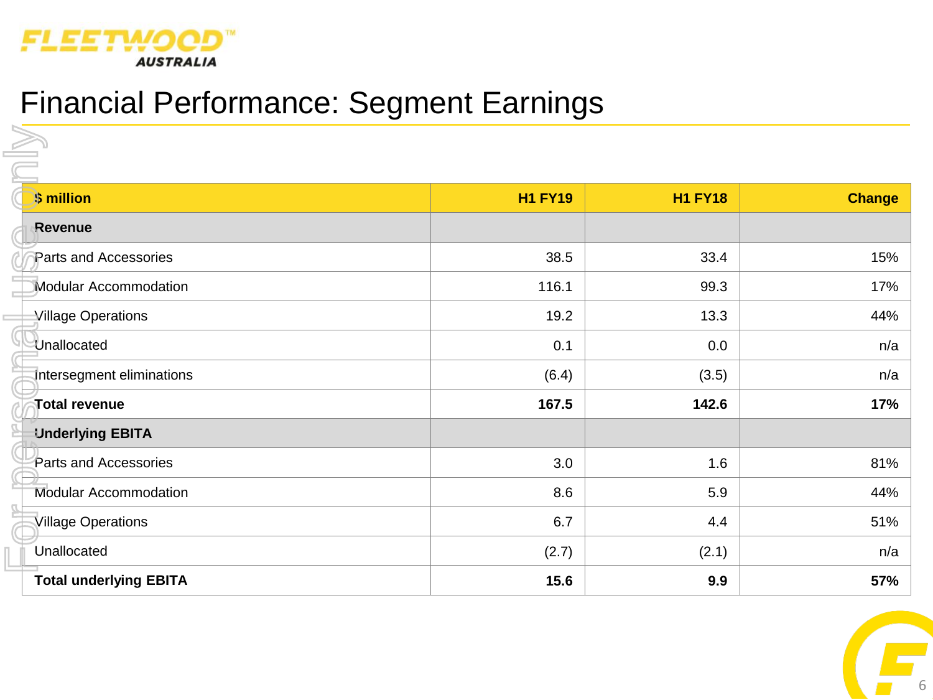

# Financial Performance: Segment Earnings

| \$ million                    | <b>H1 FY19</b> | <b>H1 FY18</b> | <b>Change</b> |
|-------------------------------|----------------|----------------|---------------|
| Revenue                       |                |                |               |
| Parts and Accessories         | 38.5           | 33.4           | 15%           |
| <b>Modular Accommodation</b>  | 116.1          | 99.3           | 17%           |
| Village Operations            | 19.2           | 13.3           | 44%           |
| Unallocated                   | 0.1            | 0.0            | n/a           |
| Intersegment eliminations     | (6.4)          | (3.5)          | n/a           |
| Total revenue                 | 167.5          | 142.6          | 17%           |
| <b>Underlying EBITA</b>       |                |                |               |
| Parts and Accessories         | 3.0            | 1.6            | 81%           |
| Modular Accommodation         | 8.6            | 5.9            | 44%           |
| <b>Village Operations</b>     | 6.7            | 4.4            | 51%           |
| Unallocated                   | (2.7)          | (2.1)          | n/a           |
| <b>Total underlying EBITA</b> | 15.6           | 9.9            | 57%           |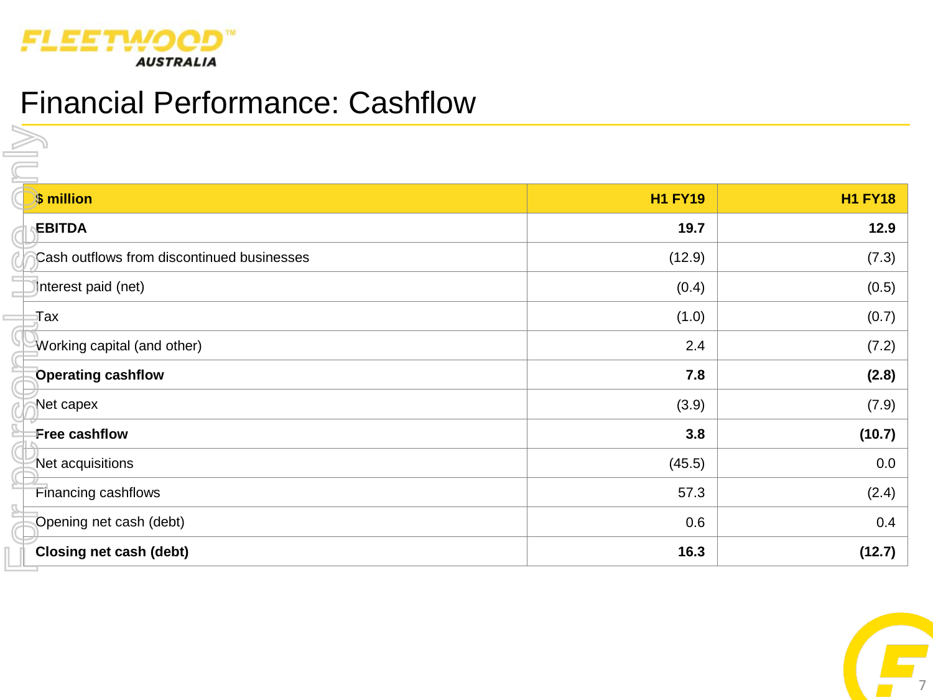

# Financial Performance: Cashflow

| \$ million                                 | <b>H1 FY19</b> | <b>H1 FY18</b> |
|--------------------------------------------|----------------|----------------|
| <b>EBITDA</b>                              | 19.7           | 12.9           |
| Cash outflows from discontinued businesses | (12.9)         | (7.3)          |
| Interest paid (net)                        | (0.4)          | (0.5)          |
| Tax                                        | (1.0)          | (0.7)          |
| Working capital (and other)                | 2.4            | (7.2)          |
| <b>Operating cashflow</b>                  | 7.8            | (2.8)          |
| Net capex                                  | (3.9)          | (7.9)          |
| Free cashflow                              | 3.8            | (10.7)         |
| Net acquisitions                           | (45.5)         | 0.0            |
| Financing cashflows                        | 57.3           | (2.4)          |
| Opening net cash (debt)                    | 0.6            | 0.4            |
| Closing net cash (debt)                    | 16.3           | (12.7)         |

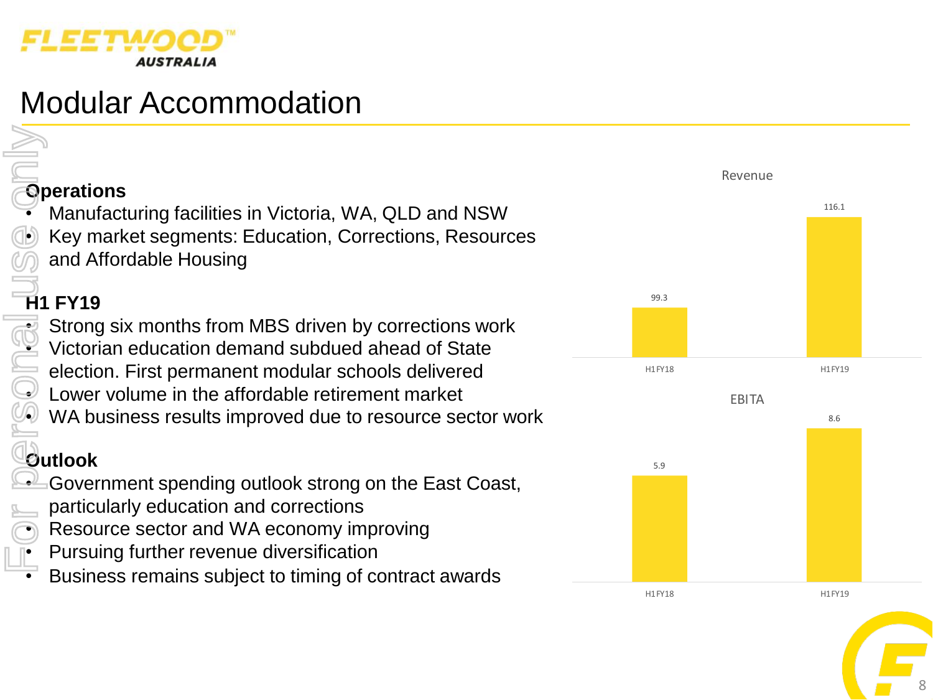

# Modular Accommodation

## **Operations**

• Manufacturing facilities in Victoria, WA, QLD and NSW • Key market segments: Education, Corrections, Resources and Affordable Housing

### **H1 FY19**

Strong six months from MBS driven by corrections work • Victorian education demand subdued ahead of State election. First permanent modular schools delivered Lower volume in the affordable retirement market WA business results improved due to resource sector work For personal use only

### **Outlook**

- Government spending outlook strong on the East Coast,
- particularly education and corrections
- Resource sector and WA economy improving
- Pursuing further revenue diversification
- Business remains subject to timing of contract awards



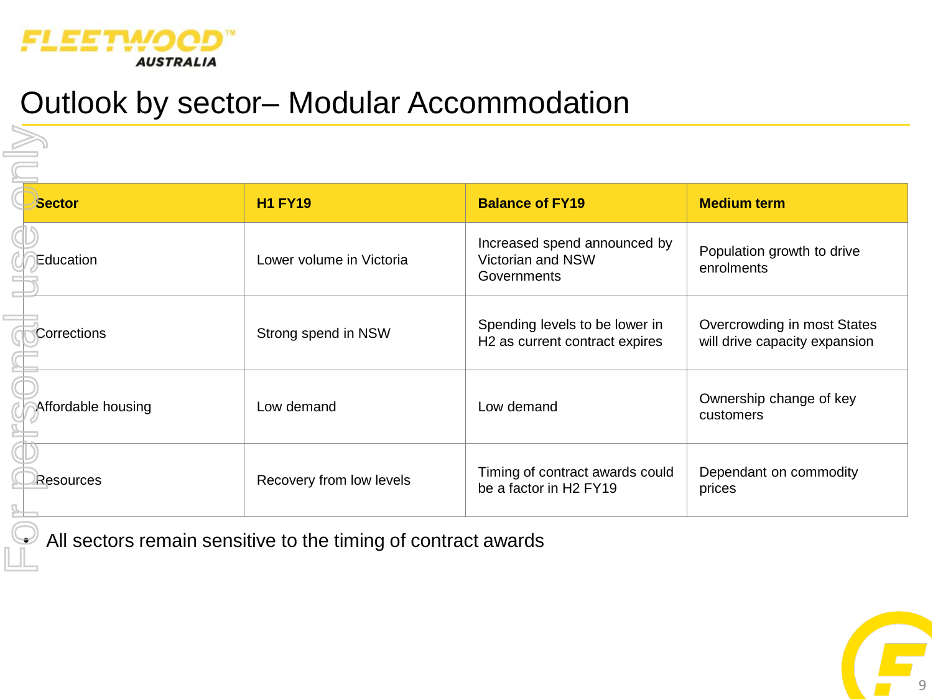

# Outlook by sector– Modular Accommodation

| <b>Sector</b>      | <b>H1 FY19</b>           | <b>Balance of FY19</b>                                                       | <b>Medium term</b>                                           |
|--------------------|--------------------------|------------------------------------------------------------------------------|--------------------------------------------------------------|
| Education          | Lower volume in Victoria | Increased spend announced by<br>Victorian and NSW<br>Governments             | Population growth to drive<br>enrolments                     |
| Corrections        | Strong spend in NSW      | Spending levels to be lower in<br>H <sub>2</sub> as current contract expires | Overcrowding in most States<br>will drive capacity expansion |
| Affordable housing | Low demand               | Low demand                                                                   | Ownership change of key<br>customers                         |
| Resources          | Recovery from low levels | Timing of contract awards could<br>be a factor in H2 FY19                    | Dependant on commodity<br>prices                             |

9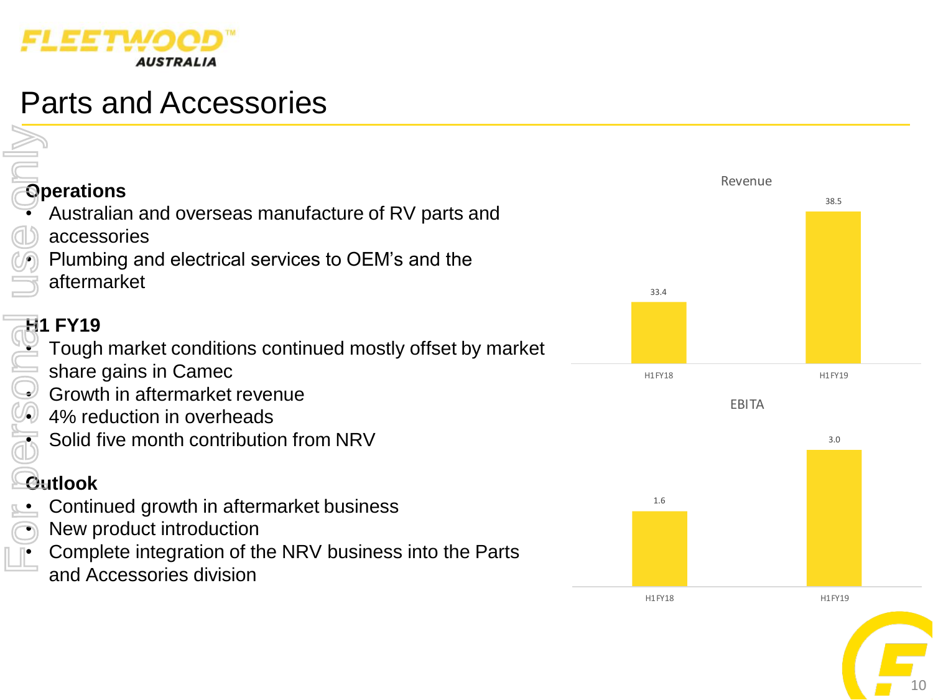

# Parts and Accessories

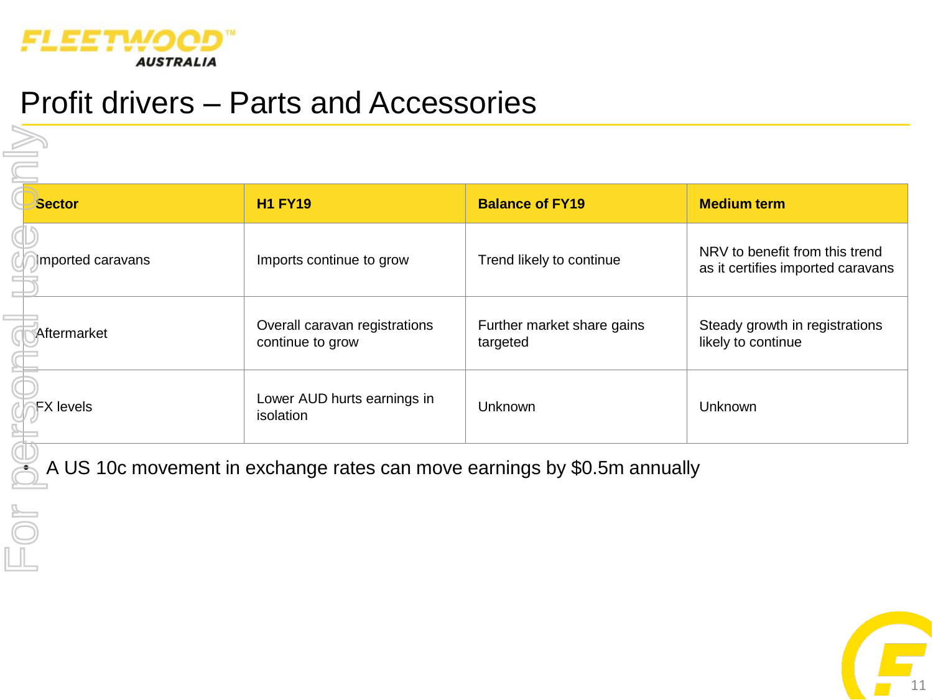

## Profit drivers – Parts and Accessories

| <b>Sector</b>                                                            | <b>H1 FY19</b>                                    | <b>Balance of FY19</b>                 | <b>Medium term</b>                                                  |  |
|--------------------------------------------------------------------------|---------------------------------------------------|----------------------------------------|---------------------------------------------------------------------|--|
| mported caravans                                                         | Imports continue to grow                          | Trend likely to continue               | NRV to benefit from this trend<br>as it certifies imported caravans |  |
| Aftermarket                                                              | Overall caravan registrations<br>continue to grow | Further market share gains<br>targeted | Steady growth in registrations<br>likely to continue                |  |
| <b>FX</b> levels                                                         | Lower AUD hurts earnings in<br>isolation          | <b>Unknown</b>                         | Unknown                                                             |  |
| A US 10c movement in exchange rates can move earnings by \$0.5m annually |                                                   |                                        |                                                                     |  |
|                                                                          |                                                   |                                        |                                                                     |  |

11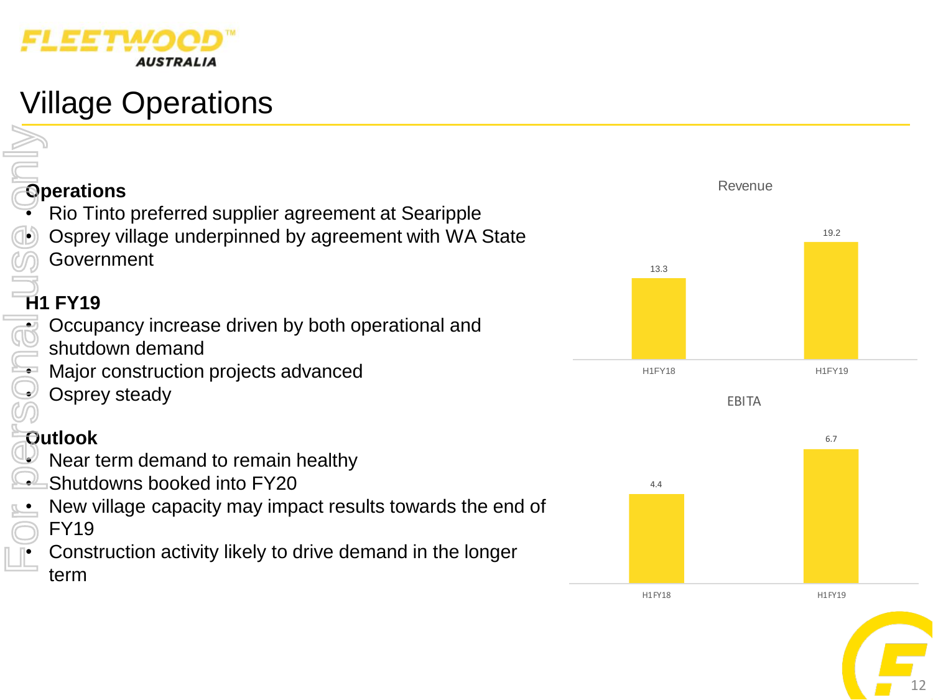

# Village Operations

# **Operations**

- Rio Tinto preferred supplier agreement at Searipple
- Osprey village underpinned by agreement with WA State Government

## **H1 FY19**

- Occupancy increase driven by both operational and
- shutdown demand
- Major construction projects advanced
- Osprey steady

### **Outlook**

- Near term demand to remain healthy
- Shutdowns booked into FY20
- New village capacity may impact results towards the end of FY19 For personal use only
	- Construction activity likely to drive demand in the longer term





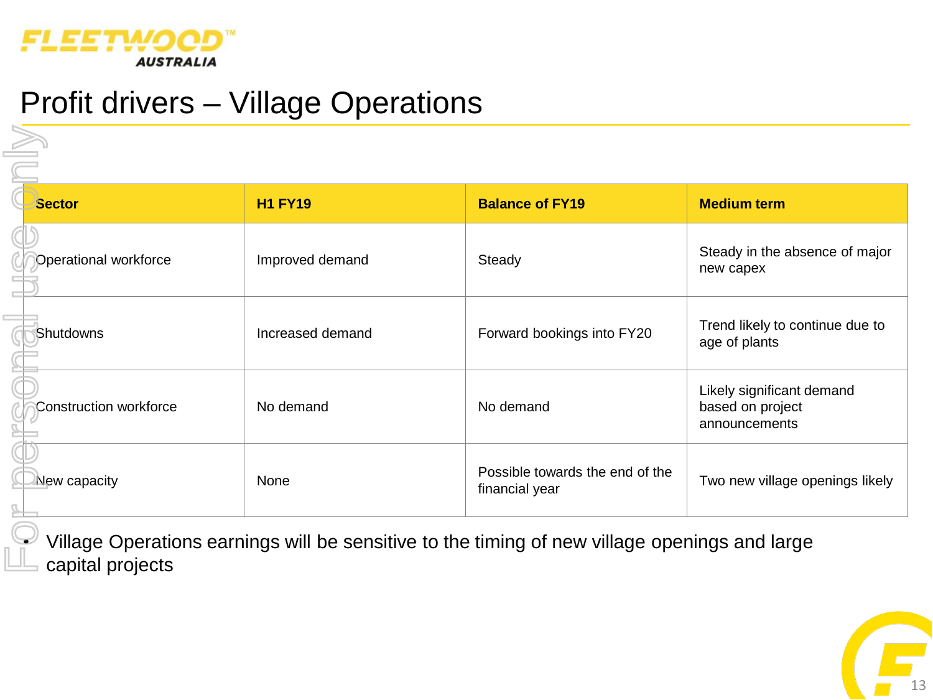

# Profit drivers – Village Operations

| <b>Sector</b>                 | <b>H1 FY19</b>   | <b>Balance of FY19</b>                            | <b>Medium term</b>                                             |
|-------------------------------|------------------|---------------------------------------------------|----------------------------------------------------------------|
| Operational workforce         | Improved demand  | Steady                                            | Steady in the absence of major<br>new capex                    |
| Shutdowns                     | Increased demand | Forward bookings into FY20                        | Trend likely to continue due to<br>age of plants               |
| <b>Construction workforce</b> | No demand        | No demand                                         | Likely significant demand<br>based on project<br>announcements |
| New capacity                  | None             | Possible towards the end of the<br>financial year | Two new village openings likely                                |

 $\mathscr I$  Village Operations earnings will be sensitive to the timing of new village openings and large capital projects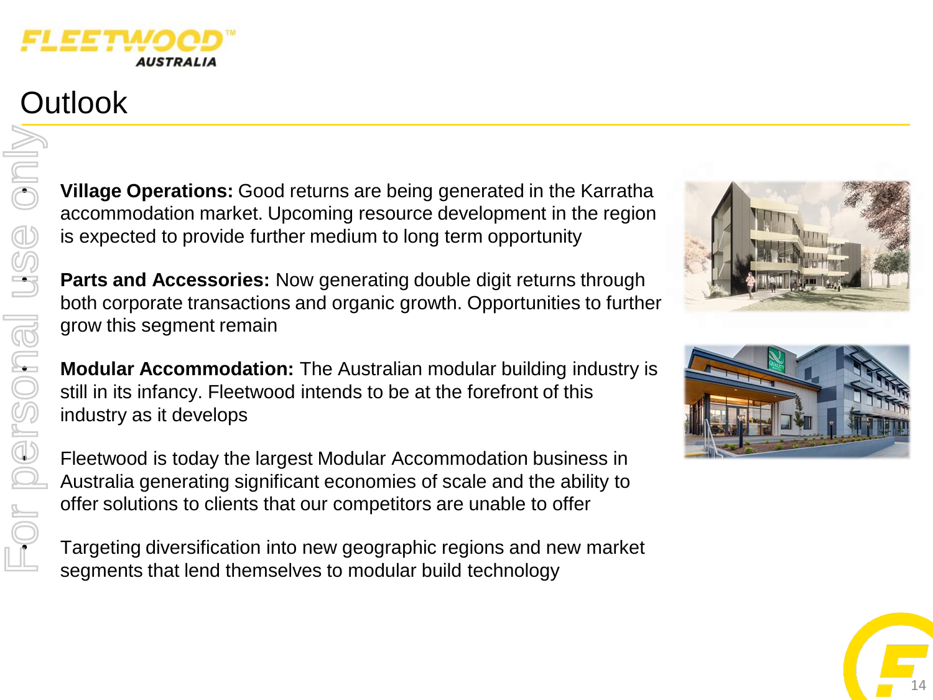

# **Outlook**

For personal use only

• **Village Operations:** Good returns are being generated in the Karratha accommodation market. Upcoming resource development in the region is expected to provide further medium to long term opportunity

Expected to provide further medium to long term opportunity<br> **Parts and Accessories:** Now generating double digit returns through<br>
both corporate transactions and cropic grouth. Opportunities to further both corporate transactions and organic growth. Opportunities to further grow this segment remain

**Example 15 and Science of the Australian modular building industry is<br>
<b>Modular Accommodation:** The Australian modular building industry is<br>
still in its infancy. Fleetwood intends to be at the forefront of this<br>
industry still in its infancy. Fleetwood intends to be at the forefront of this industry as it develops

• Fleetwood is today the largest Modular Accommodation business in Australia generating significant economies of scale and the ability to offer solutions to clients that our competitors are unable to offer

• Targeting diversification into new geographic regions and new market segments that lend themselves to modular build technology





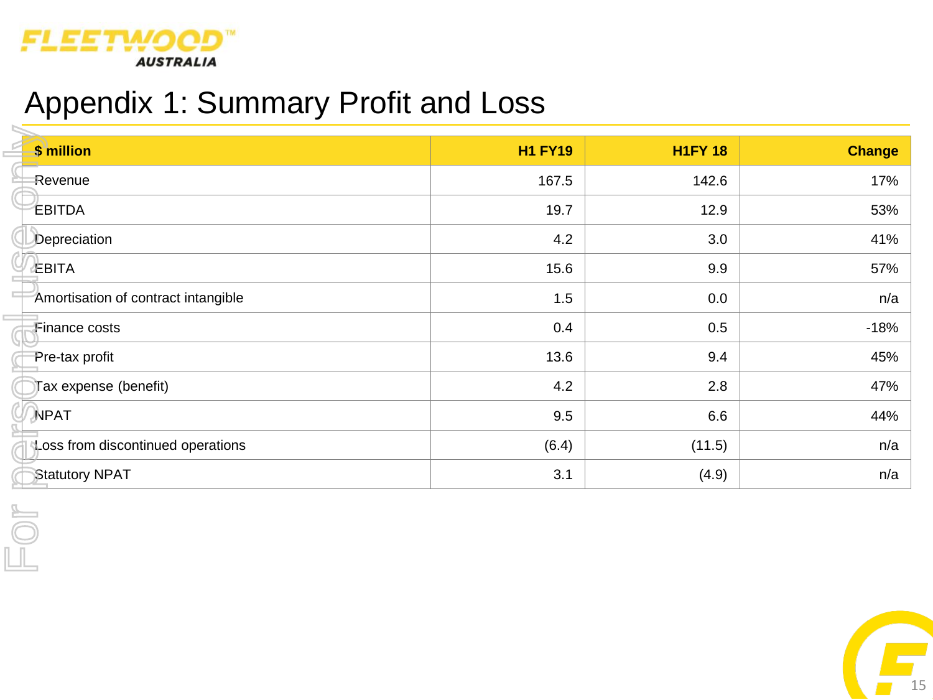

# Appendix 1: Summary Profit and Loss

| \$ million                          | <b>H1 FY19</b> | <b>H1FY 18</b> | <b>Change</b> |
|-------------------------------------|----------------|----------------|---------------|
| Revenue                             | 167.5          | 142.6          | 17%           |
| EBITDA                              | 19.7           | 12.9           | 53%           |
| Depreciation                        | 4.2            | 3.0            | 41%           |
| ∉BITA                               | 15.6           | 9.9            | 57%           |
| Amortisation of contract intangible | 1.5            | 0.0            | n/a           |
| Finance costs                       | 0.4            | 0.5            | $-18%$        |
| Pre-tax profit                      | 13.6           | 9.4            | 45%           |
| Tax expense (benefit)               | 4.2            | 2.8            | 47%           |
| <b>NPAT</b>                         | 9.5            | 6.6            | 44%           |
| Loss from discontinued operations   | (6.4)          | (11.5)         | n/a           |
| <b>Statutory NPAT</b>               | 3.1            | (4.9)          | n/a           |
|                                     |                |                |               |
|                                     |                |                |               |
|                                     |                |                |               |

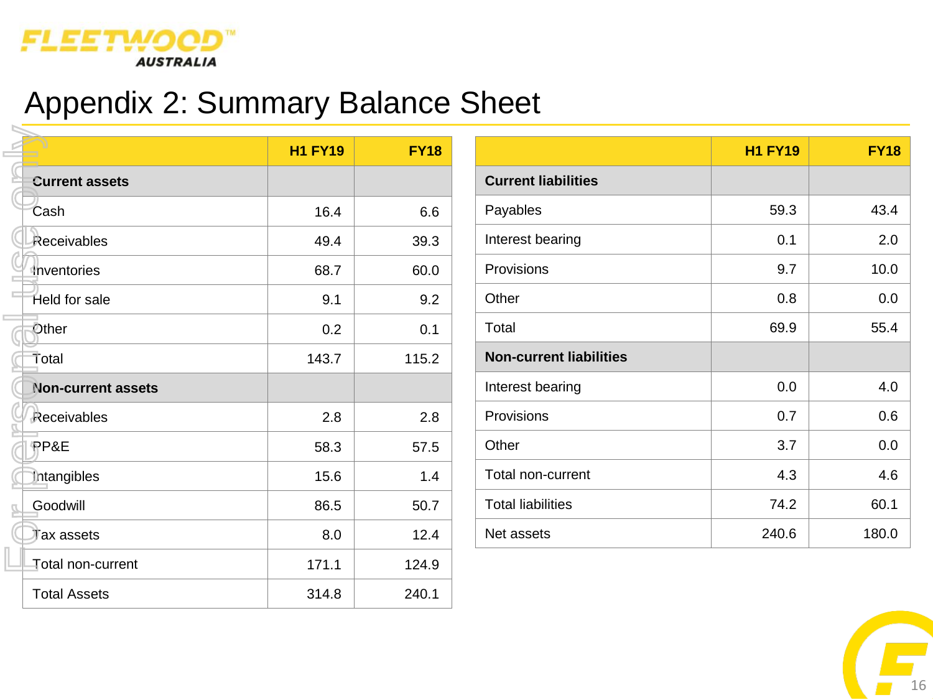

# Appendix 2: Summary Balance Sheet

|                           | <b>H1 FY19</b> | <b>FY18</b> |
|---------------------------|----------------|-------------|
| <b>Current assets</b>     |                |             |
| Cash                      | 16.4           | 6.6         |
| Receivables               | 49.4           | 39.3        |
| Inventories               | 68.7           | 60.0        |
| Held for sale             | 9.1            | 9.2         |
| Other                     | 0.2            | 0.1         |
| Total                     | 143.7          | 115.2       |
| <b>Non-current assets</b> |                |             |
| Receivables               | 2.8            | 2.8         |
| PP&E                      | 58.3           | 57.5        |
| Intangibles               | 15.6           | 1.4         |
| Goodwill                  | 86.5           | 50.7        |
| Tax assets                | 8.0            | 12.4        |
| Total non-current         | 171.1          | 124.9       |
| <b>Total Assets</b>       | 314.8          | 240.1       |

|                                | <b>H1 FY19</b> | <b>FY18</b> |
|--------------------------------|----------------|-------------|
| <b>Current liabilities</b>     |                |             |
| Payables                       | 59.3           | 43.4        |
| Interest bearing               | 0.1            | 2.0         |
| Provisions                     | 9.7            | 10.0        |
| Other                          | 0.8            | 0.0         |
| Total                          | 69.9           | 55.4        |
| <b>Non-current liabilities</b> |                |             |
| Interest bearing               | 0.0            | 4.0         |
| Provisions                     | 0.7            | 0.6         |
| Other                          | 3.7            | 0.0         |
| Total non-current              | 4.3            | 4.6         |
| <b>Total liabilities</b>       | 74.2           | 60.1        |
| Net assets                     | 240.6          | 180.0       |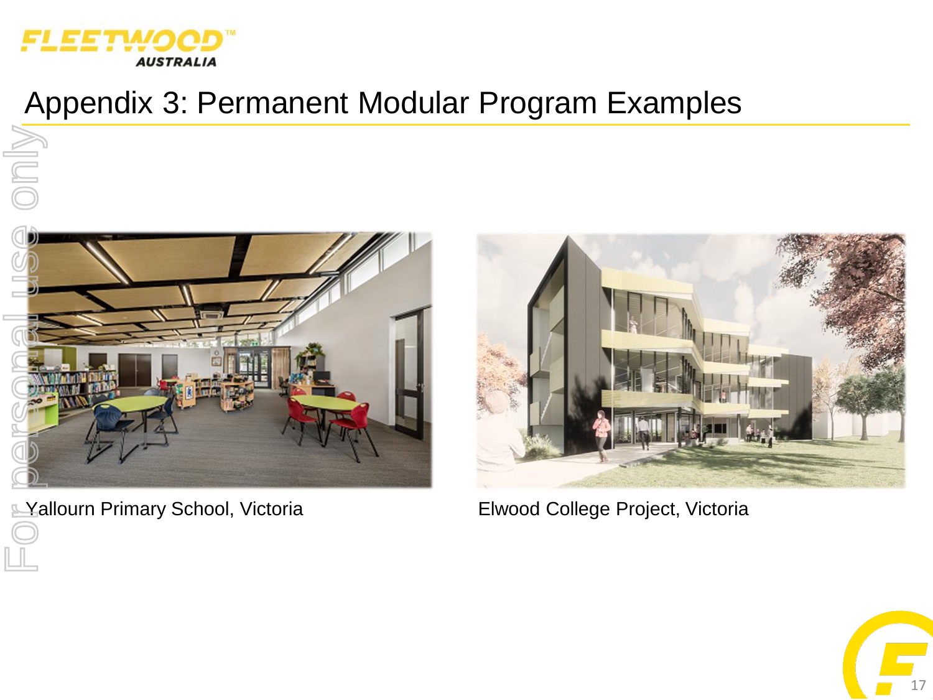

only

# Appendix 3: Permanent Modular Program Examples



**Elwood College Project, Victoria** Elwood College Project, Victoria